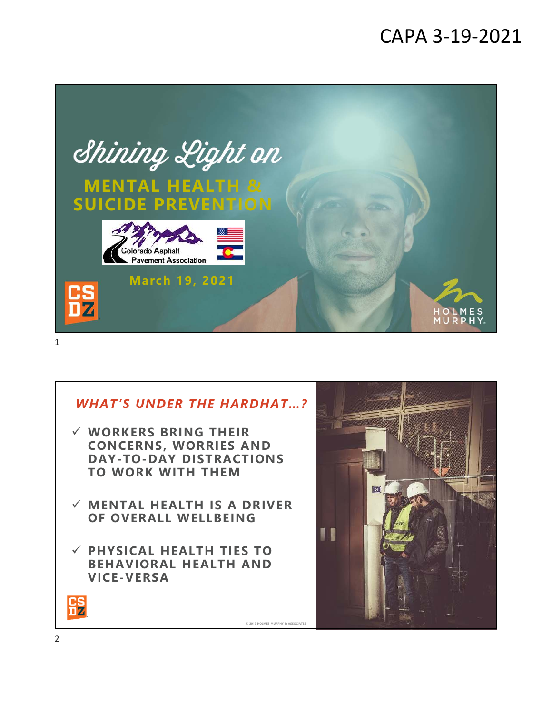# CAPA 3-19-2021



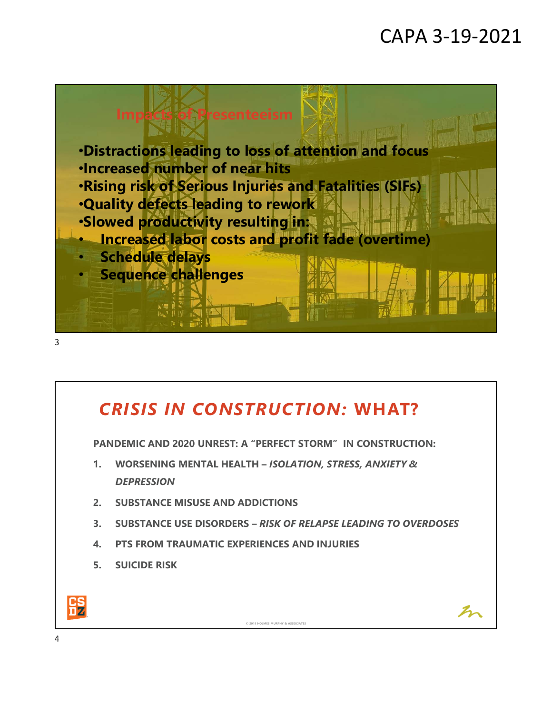# CAPA 3-19-2021

 $\mathcal{Z}_\mathcal{P}$ 



### *CRISIS IN CONSTRUCTION:* **WHAT?**

**PANDEMIC AND 2020 UNREST: A "PERFECT STORM" IN CONSTRUCTION:** 

- **1. WORSENING MENTAL HEALTH –** *ISOLATION, STRESS, ANXIETY & DEPRESSION*
- **2. SUBSTANCE MISUSE AND ADDICTIONS**
- **3. SUBSTANCE USE DISORDERS –** *RISK OF RELAPSE LEADING TO OVERDOSES*

**© 2019 HOLMES MURPHY & ASSOCIATES**

- **4. PTS FROM TRAUMATIC EXPERIENCES AND INJURIES**
- **5. SUICIDE RISK**

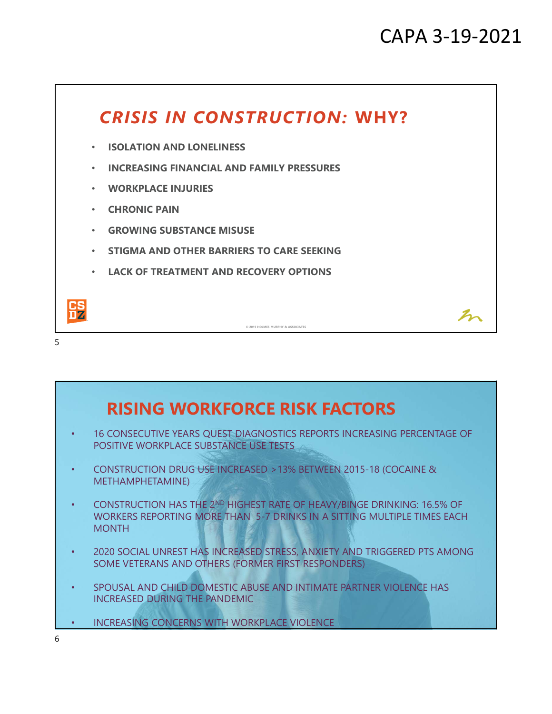

### **• INCREASING CONCERNS WITH WORKPLACE VIOLENCE** • 16 CONSECUTIVE YEARS QUEST DIAGNOSTICS REPORTS INCREASING PERCENTAGE OF POSITIVE WORKPLACE SUBSTANCE USE TESTS • CONSTRUCTION DRUG USE INCREASED >13% BETWEEN 2015-18 (COCAINE & METHAMPHETAMINE) • CONSTRUCTION HAS THE 2ND HIGHEST RATE OF HEAVY/BINGE DRINKING: 16.5% OF WORKERS REPORTING MORE THAN 5-7 DRINKS IN A SITTING MULTIPLE TIMES EACH MONTH • 2020 SOCIAL UNREST HAS INCREASED STRESS, ANXIETY AND TRIGGERED PTS AMONG SOME VETERANS AND OTHERS (FORMER FIRST RESPONDERS) • SPOUSAL AND CHILD DOMESTIC ABUSE AND INTIMATE PARTNER VIOLENCE HAS INCREASED DURING THE PANDEMIC **RISING WORKFORCE RISK FACTORS** 6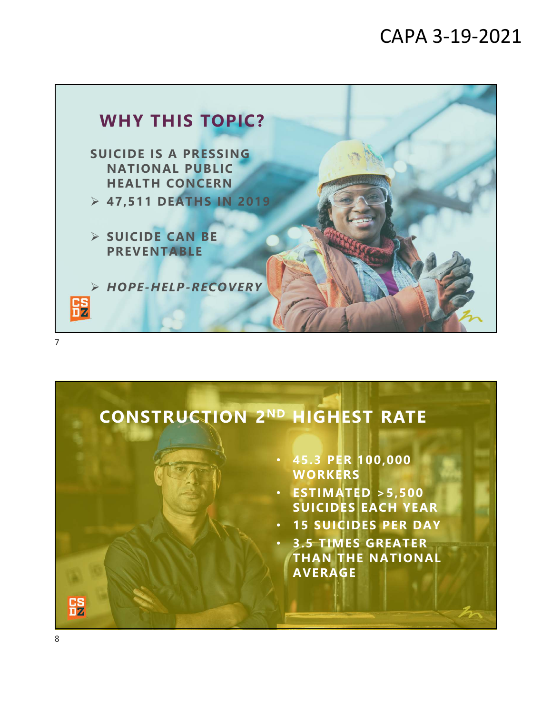### CAPA 3-19-2021